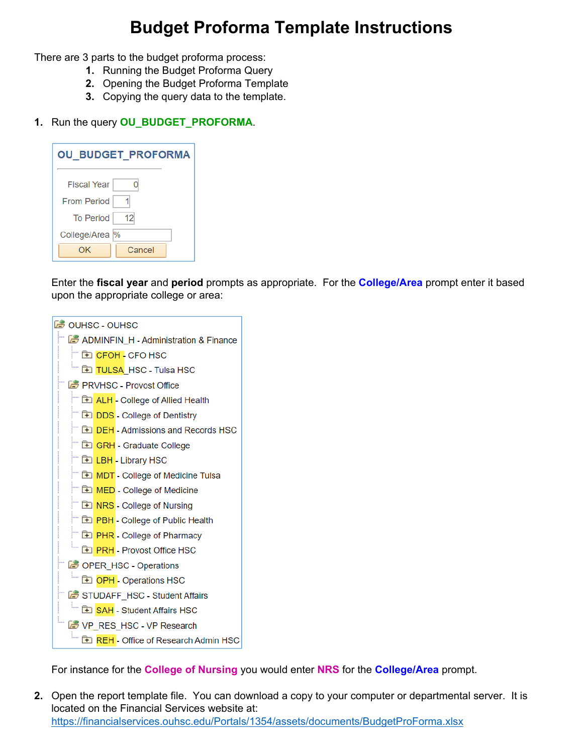## **Budget Proforma Template Instructions**

There are 3 parts to the budget proforma process:

- **1.** Running the Budget Proforma Query
- **2.** Opening the Budget Proforma Template
- **3.** Copying the query data to the template.

## **1.** Run the query **OU\_BUDGET\_PROFORMA**.

| <b>OU BUDGET PROFORMA</b> |        |  |  |  |  |  |
|---------------------------|--------|--|--|--|--|--|
| <b>Fiscal Year</b>        |        |  |  |  |  |  |
| <b>From Period</b>        |        |  |  |  |  |  |
| <b>To Period</b>          | 12     |  |  |  |  |  |
| College/Area  %           |        |  |  |  |  |  |
| OK                        | Cancel |  |  |  |  |  |

Enter the **fiscal year** and **period** prompts as appropriate. For the **College/Area** prompt enter it based upon the appropriate college or area:



For instance for the **College of Nursing** you would enter **NRS** for the **College/Area** prompt.

**2.** Open the report template file. You can download a copy to your computer or departmental server. It is located on the Financial Services website at: https://financialservices.ouhsc.edu/Portals/1354/assets/documents/BudgetProForma.xlsx